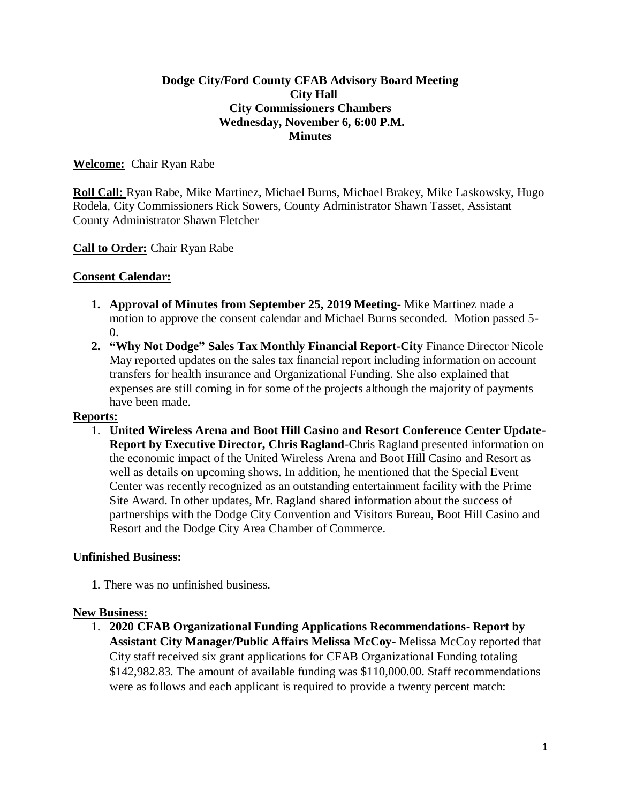# **Dodge City/Ford County CFAB Advisory Board Meeting City Hall City Commissioners Chambers Wednesday, November 6, 6:00 P.M. Minutes**

# **Welcome:** Chair Ryan Rabe

**Roll Call:** Ryan Rabe, Mike Martinez, Michael Burns, Michael Brakey, Mike Laskowsky, Hugo Rodela, City Commissioners Rick Sowers, County Administrator Shawn Tasset, Assistant County Administrator Shawn Fletcher

### **Call to Order:** Chair Ryan Rabe

### **Consent Calendar:**

- **1. Approval of Minutes from September 25, 2019 Meeting** Mike Martinez made a motion to approve the consent calendar and Michael Burns seconded. Motion passed 5- 0.
- **2. "Why Not Dodge" Sales Tax Monthly Financial Report-City** Finance Director Nicole May reported updates on the sales tax financial report including information on account transfers for health insurance and Organizational Funding. She also explained that expenses are still coming in for some of the projects although the majority of payments have been made.

#### **Reports:**

1. **United Wireless Arena and Boot Hill Casino and Resort Conference Center Update-Report by Executive Director, Chris Ragland**-Chris Ragland presented information on the economic impact of the United Wireless Arena and Boot Hill Casino and Resort as well as details on upcoming shows. In addition, he mentioned that the Special Event Center was recently recognized as an outstanding entertainment facility with the Prime Site Award. In other updates, Mr. Ragland shared information about the success of partnerships with the Dodge City Convention and Visitors Bureau, Boot Hill Casino and Resort and the Dodge City Area Chamber of Commerce.

#### **Unfinished Business:**

**1**. There was no unfinished business.

#### **New Business:**

1. **2020 CFAB Organizational Funding Applications Recommendations- Report by Assistant City Manager/Public Affairs Melissa McCoy**- Melissa McCoy reported that City staff received six grant applications for CFAB Organizational Funding totaling \$142,982.83. The amount of available funding was \$110,000.00. Staff recommendations were as follows and each applicant is required to provide a twenty percent match: